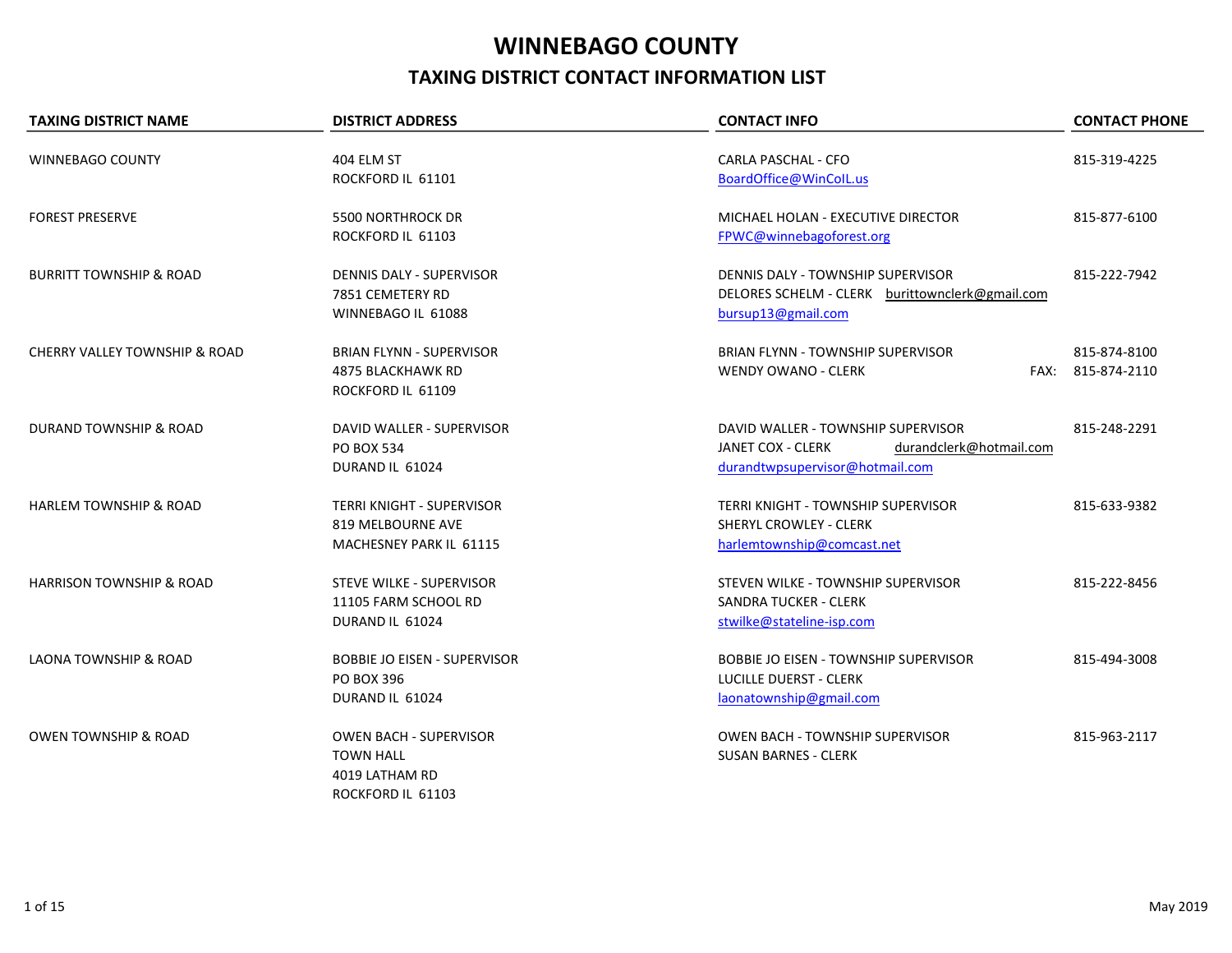## WINNEBAGO COUNTY TAXING DISTRICT CONTACT INFORMATION LIST

| <b>TAXING DISTRICT NAME</b>              | <b>DISTRICT ADDRESS</b>             | <b>CONTACT INFO</b>                             | <b>CONTACT PHONE</b> |
|------------------------------------------|-------------------------------------|-------------------------------------------------|----------------------|
| <b>WINNEBAGO COUNTY</b>                  | 404 ELM ST                          | CARLA PASCHAL - CFO                             | 815-319-4225         |
|                                          | ROCKFORD IL 61101                   | BoardOffice@WinColL.us                          |                      |
|                                          |                                     |                                                 |                      |
| <b>FOREST PRESERVE</b>                   | 5500 NORTHROCK DR                   | MICHAEL HOLAN - EXECUTIVE DIRECTOR              | 815-877-6100         |
|                                          | ROCKFORD IL 61103                   | FPWC@winnebagoforest.org                        |                      |
| <b>BURRITT TOWNSHIP &amp; ROAD</b>       | DENNIS DALY - SUPERVISOR            | DENNIS DALY - TOWNSHIP SUPERVISOR               | 815-222-7942         |
|                                          | 7851 CEMETERY RD                    | DELORES SCHELM - CLERK burittownclerk@gmail.com |                      |
|                                          | WINNEBAGO IL 61088                  | bursup13@gmail.com                              |                      |
| <b>CHERRY VALLEY TOWNSHIP &amp; ROAD</b> | <b>BRIAN FLYNN - SUPERVISOR</b>     | <b>BRIAN FLYNN - TOWNSHIP SUPERVISOR</b>        | 815-874-8100         |
|                                          | 4875 BLACKHAWK RD                   | <b>WENDY OWANO - CLERK</b>                      | FAX: 815-874-2110    |
|                                          | ROCKFORD IL 61109                   |                                                 |                      |
| <b>DURAND TOWNSHIP &amp; ROAD</b>        | DAVID WALLER - SUPERVISOR           | DAVID WALLER - TOWNSHIP SUPERVISOR              | 815-248-2291         |
|                                          | <b>PO BOX 534</b>                   | JANET COX - CLERK<br>durandclerk@hotmail.com    |                      |
|                                          | DURAND IL 61024                     | durandtwpsupervisor@hotmail.com                 |                      |
| <b>HARLEM TOWNSHIP &amp; ROAD</b>        | <b>TERRI KNIGHT - SUPERVISOR</b>    | <b>TERRI KNIGHT - TOWNSHIP SUPERVISOR</b>       | 815-633-9382         |
|                                          | 819 MELBOURNE AVE                   | <b>SHERYL CROWLEY - CLERK</b>                   |                      |
|                                          | MACHESNEY PARK IL 61115             | harlemtownship@comcast.net                      |                      |
| <b>HARRISON TOWNSHIP &amp; ROAD</b>      | STEVE WILKE - SUPERVISOR            | STEVEN WILKE - TOWNSHIP SUPERVISOR              | 815-222-8456         |
|                                          | 11105 FARM SCHOOL RD                | SANDRA TUCKER - CLERK                           |                      |
|                                          | DURAND IL 61024                     | stwilke@stateline-isp.com                       |                      |
| <b>LAONA TOWNSHIP &amp; ROAD</b>         | <b>BOBBIE JO EISEN - SUPERVISOR</b> | <b>BOBBIE JO EISEN - TOWNSHIP SUPERVISOR</b>    | 815-494-3008         |
|                                          | PO BOX 396                          | <b>LUCILLE DUERST - CLERK</b>                   |                      |
|                                          | DURAND IL 61024                     | laonatownship@gmail.com                         |                      |
| <b>OWEN TOWNSHIP &amp; ROAD</b>          | <b>OWEN BACH - SUPERVISOR</b>       | <b>OWEN BACH - TOWNSHIP SUPERVISOR</b>          | 815-963-2117         |
|                                          | <b>TOWN HALL</b>                    | <b>SUSAN BARNES - CLERK</b>                     |                      |
|                                          | 4019 LATHAM RD                      |                                                 |                      |
|                                          | ROCKFORD IL 61103                   |                                                 |                      |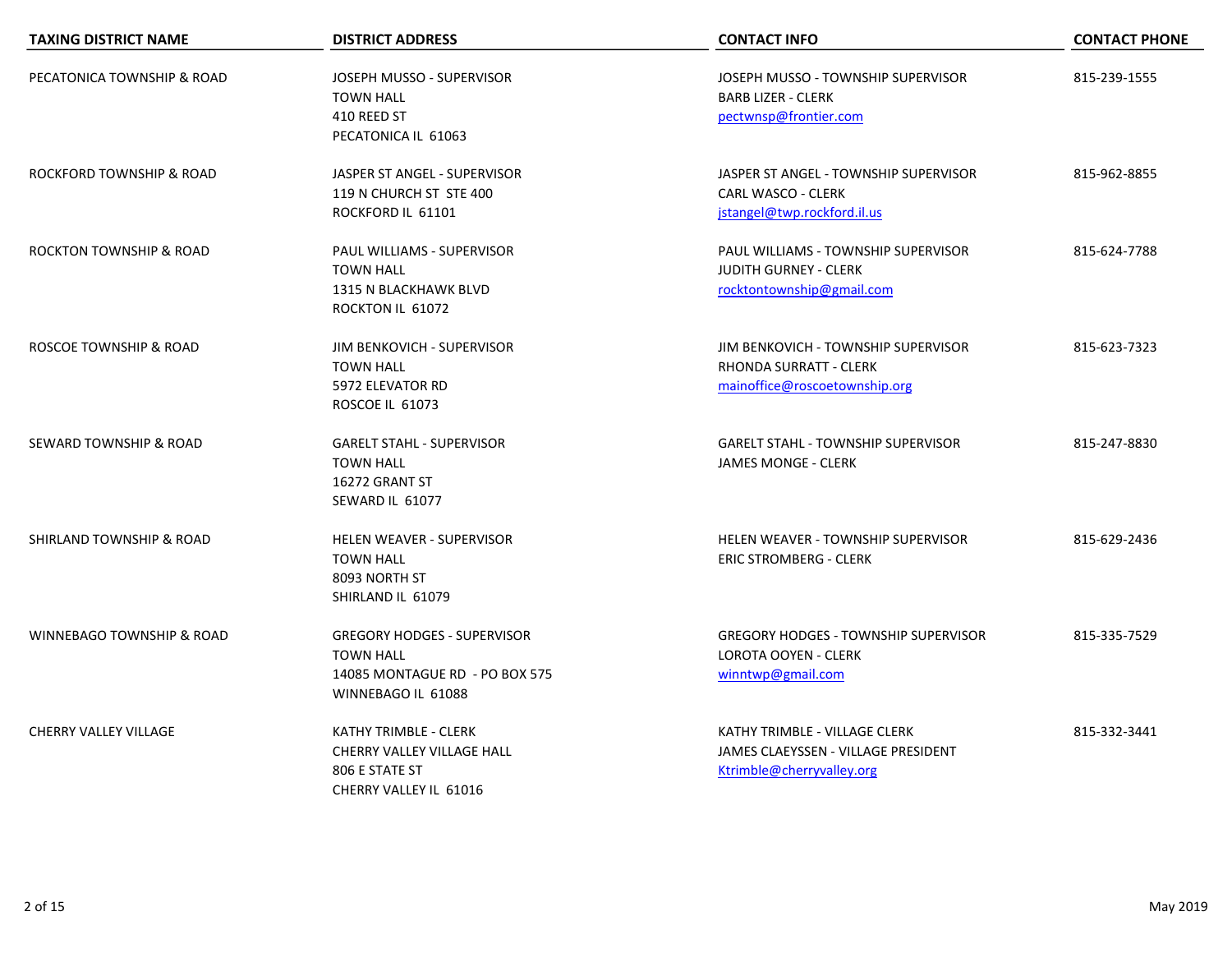| <b>TAXING DISTRICT NAME</b>         | <b>DISTRICT ADDRESS</b>                                                                                        | <b>CONTACT INFO</b>                                                                                   | <b>CONTACT PHONE</b> |
|-------------------------------------|----------------------------------------------------------------------------------------------------------------|-------------------------------------------------------------------------------------------------------|----------------------|
| PECATONICA TOWNSHIP & ROAD          | JOSEPH MUSSO - SUPERVISOR<br><b>TOWN HALL</b><br>410 REED ST<br>PECATONICA IL 61063                            | JOSEPH MUSSO - TOWNSHIP SUPERVISOR<br><b>BARB LIZER - CLERK</b><br>pectwnsp@frontier.com              | 815-239-1555         |
| ROCKFORD TOWNSHIP & ROAD            | JASPER ST ANGEL - SUPERVISOR<br>119 N CHURCH ST STE 400<br>ROCKFORD IL 61101                                   | JASPER ST ANGEL - TOWNSHIP SUPERVISOR<br><b>CARL WASCO - CLERK</b><br>jstangel@twp.rockford.il.us     | 815-962-8855         |
| <b>ROCKTON TOWNSHIP &amp; ROAD</b>  | PAUL WILLIAMS - SUPERVISOR<br><b>TOWN HALL</b><br>1315 N BLACKHAWK BLVD<br>ROCKTON IL 61072                    | PAUL WILLIAMS - TOWNSHIP SUPERVISOR<br><b>JUDITH GURNEY - CLERK</b><br>rocktontownship@gmail.com      | 815-624-7788         |
| ROSCOE TOWNSHIP & ROAD              | JIM BENKOVICH - SUPERVISOR<br><b>TOWN HALL</b><br>5972 ELEVATOR RD<br>ROSCOE IL 61073                          | JIM BENKOVICH - TOWNSHIP SUPERVISOR<br><b>RHONDA SURRATT - CLERK</b><br>mainoffice@roscoetownship.org | 815-623-7323         |
| SEWARD TOWNSHIP & ROAD              | <b>GARELT STAHL - SUPERVISOR</b><br><b>TOWN HALL</b><br>16272 GRANT ST<br>SEWARD IL 61077                      | <b>GARELT STAHL - TOWNSHIP SUPERVISOR</b><br><b>JAMES MONGE - CLERK</b>                               | 815-247-8830         |
| <b>SHIRLAND TOWNSHIP &amp; ROAD</b> | <b>HELEN WEAVER - SUPERVISOR</b><br><b>TOWN HALL</b><br>8093 NORTH ST<br>SHIRLAND IL 61079                     | <b>HELEN WEAVER - TOWNSHIP SUPERVISOR</b><br><b>ERIC STROMBERG - CLERK</b>                            | 815-629-2436         |
| WINNEBAGO TOWNSHIP & ROAD           | <b>GREGORY HODGES - SUPERVISOR</b><br><b>TOWN HALL</b><br>14085 MONTAGUE RD - PO BOX 575<br>WINNEBAGO IL 61088 | <b>GREGORY HODGES - TOWNSHIP SUPERVISOR</b><br><b>LOROTA OOYEN - CLERK</b><br>winntwp@gmail.com       | 815-335-7529         |
| <b>CHERRY VALLEY VILLAGE</b>        | KATHY TRIMBLE - CLERK<br>CHERRY VALLEY VILLAGE HALL<br>806 E STATE ST<br>CHERRY VALLEY IL 61016                | KATHY TRIMBLE - VILLAGE CLERK<br>JAMES CLAEYSSEN - VILLAGE PRESIDENT<br>Ktrimble@cherryvalley.org     | 815-332-3441         |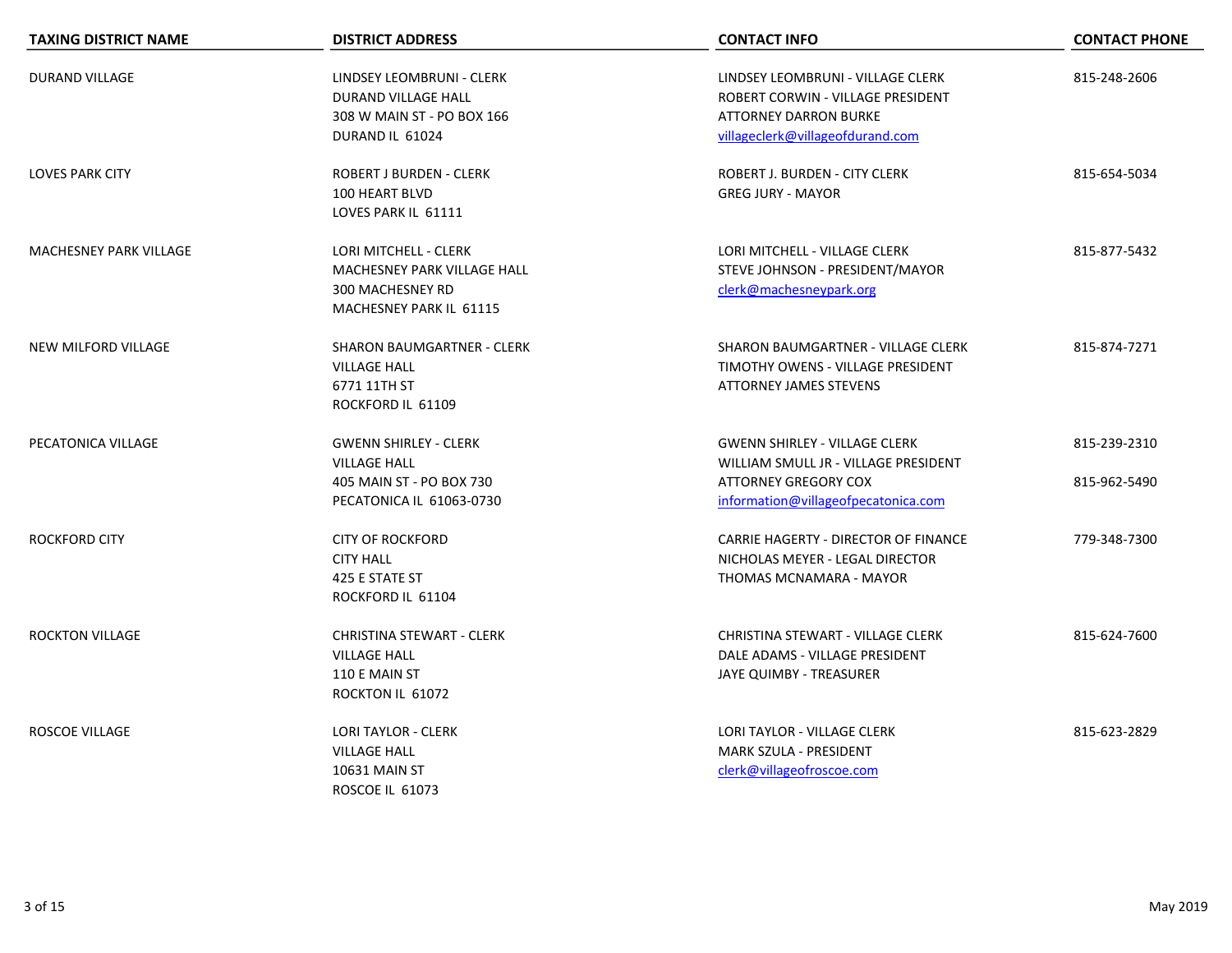| <b>TAXING DISTRICT NAME</b>   | <b>DISTRICT ADDRESS</b>                                                                                     | <b>CONTACT INFO</b>                                                                                                                         | <b>CONTACT PHONE</b>         |
|-------------------------------|-------------------------------------------------------------------------------------------------------------|---------------------------------------------------------------------------------------------------------------------------------------------|------------------------------|
| <b>DURAND VILLAGE</b>         | LINDSEY LEOMBRUNI - CLERK<br>DURAND VILLAGE HALL<br>308 W MAIN ST - PO BOX 166<br>DURAND IL 61024           | LINDSEY LEOMBRUNI - VILLAGE CLERK<br>ROBERT CORWIN - VILLAGE PRESIDENT<br><b>ATTORNEY DARRON BURKE</b><br>villageclerk@villageofdurand.com  | 815-248-2606                 |
| <b>LOVES PARK CITY</b>        | <b>ROBERT J BURDEN - CLERK</b><br>100 HEART BLVD<br>LOVES PARK IL 61111                                     | ROBERT J. BURDEN - CITY CLERK<br><b>GREG JURY - MAYOR</b>                                                                                   | 815-654-5034                 |
| <b>MACHESNEY PARK VILLAGE</b> | LORI MITCHELL - CLERK<br>MACHESNEY PARK VILLAGE HALL<br>300 MACHESNEY RD<br>MACHESNEY PARK IL 61115         | LORI MITCHELL - VILLAGE CLERK<br>STEVE JOHNSON - PRESIDENT/MAYOR<br>clerk@machesneypark.org                                                 | 815-877-5432                 |
| <b>NEW MILFORD VILLAGE</b>    | SHARON BAUMGARTNER - CLERK<br><b>VILLAGE HALL</b><br>6771 11TH ST<br>ROCKFORD IL 61109                      | SHARON BAUMGARTNER - VILLAGE CLERK<br>TIMOTHY OWENS - VILLAGE PRESIDENT<br><b>ATTORNEY JAMES STEVENS</b>                                    | 815-874-7271                 |
| PECATONICA VILLAGE            | <b>GWENN SHIRLEY - CLERK</b><br><b>VILLAGE HALL</b><br>405 MAIN ST - PO BOX 730<br>PECATONICA IL 61063-0730 | <b>GWENN SHIRLEY - VILLAGE CLERK</b><br>WILLIAM SMULL JR - VILLAGE PRESIDENT<br>ATTORNEY GREGORY COX<br>information@villageofpecatonica.com | 815-239-2310<br>815-962-5490 |
| <b>ROCKFORD CITY</b>          | <b>CITY OF ROCKFORD</b><br><b>CITY HALL</b><br>425 E STATE ST<br>ROCKFORD IL 61104                          | CARRIE HAGERTY - DIRECTOR OF FINANCE<br>NICHOLAS MEYER - LEGAL DIRECTOR<br>THOMAS MCNAMARA - MAYOR                                          | 779-348-7300                 |
| <b>ROCKTON VILLAGE</b>        | <b>CHRISTINA STEWART - CLERK</b><br><b>VILLAGE HALL</b><br>110 E MAIN ST<br>ROCKTON IL 61072                | <b>CHRISTINA STEWART - VILLAGE CLERK</b><br>DALE ADAMS - VILLAGE PRESIDENT<br>JAYE QUIMBY - TREASURER                                       | 815-624-7600                 |
| <b>ROSCOE VILLAGE</b>         | <b>LORI TAYLOR - CLERK</b><br><b>VILLAGE HALL</b><br><b>10631 MAIN ST</b><br><b>ROSCOE IL 61073</b>         | <b>LORI TAYLOR - VILLAGE CLERK</b><br><b>MARK SZULA - PRESIDENT</b><br>clerk@villageofroscoe.com                                            | 815-623-2829                 |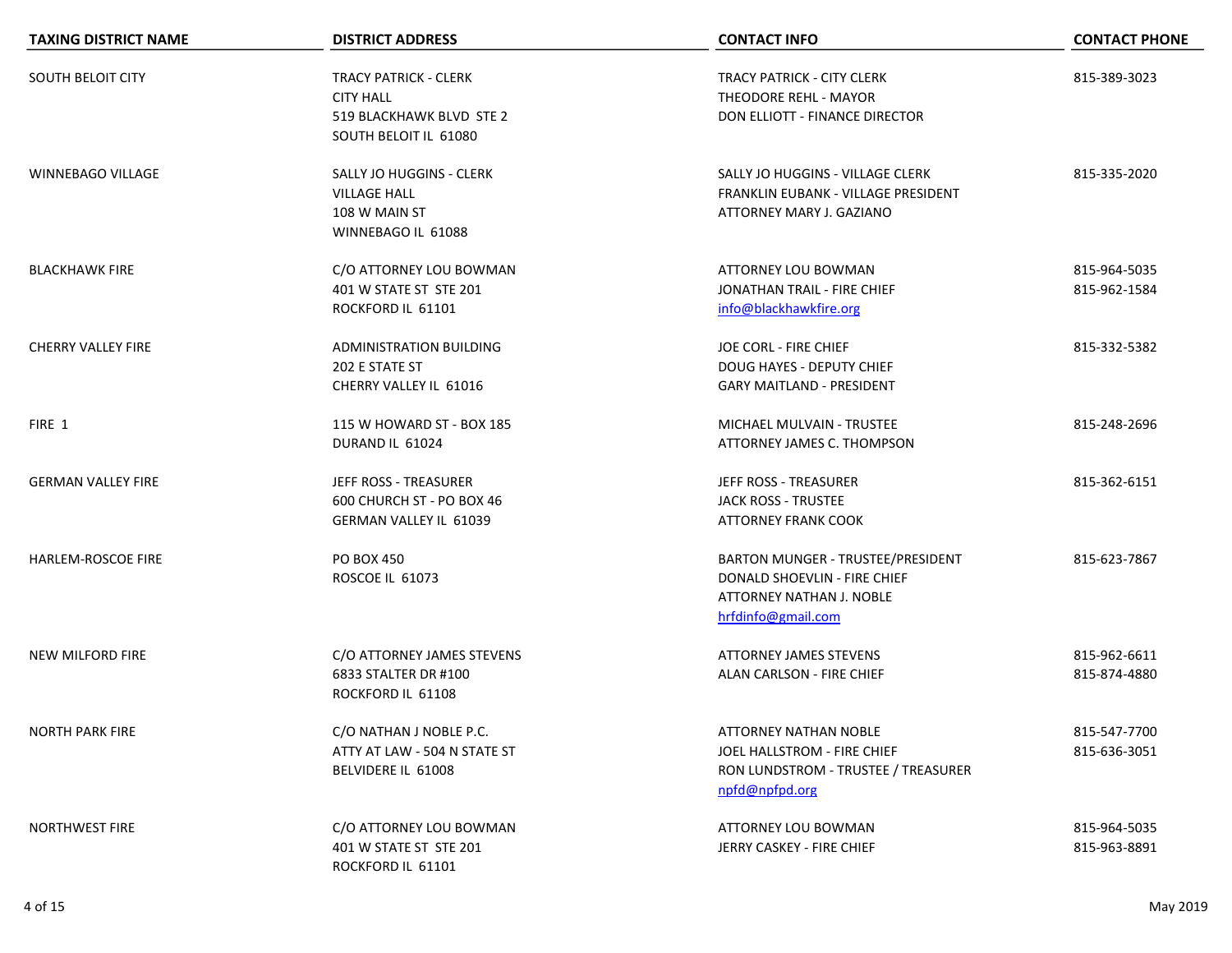| <b>TAXING DISTRICT NAME</b> | <b>DISTRICT ADDRESS</b>                                                                               | <b>CONTACT INFO</b>                                                                                                  | <b>CONTACT PHONE</b>         |
|-----------------------------|-------------------------------------------------------------------------------------------------------|----------------------------------------------------------------------------------------------------------------------|------------------------------|
| <b>SOUTH BELOIT CITY</b>    | <b>TRACY PATRICK - CLERK</b><br><b>CITY HALL</b><br>519 BLACKHAWK BLVD STE 2<br>SOUTH BELOIT IL 61080 | <b>TRACY PATRICK - CITY CLERK</b><br>THEODORE REHL - MAYOR<br>DON ELLIOTT - FINANCE DIRECTOR                         | 815-389-3023                 |
| <b>WINNEBAGO VILLAGE</b>    | SALLY JO HUGGINS - CLERK<br><b>VILLAGE HALL</b><br>108 W MAIN ST<br>WINNEBAGO IL 61088                | SALLY JO HUGGINS - VILLAGE CLERK<br>FRANKLIN EUBANK - VILLAGE PRESIDENT<br>ATTORNEY MARY J. GAZIANO                  | 815-335-2020                 |
| <b>BLACKHAWK FIRE</b>       | C/O ATTORNEY LOU BOWMAN<br>401 W STATE ST STE 201<br>ROCKFORD IL 61101                                | ATTORNEY LOU BOWMAN<br>JONATHAN TRAIL - FIRE CHIEF<br>info@blackhawkfire.org                                         | 815-964-5035<br>815-962-1584 |
| <b>CHERRY VALLEY FIRE</b>   | ADMINISTRATION BUILDING<br>202 E STATE ST<br>CHERRY VALLEY IL 61016                                   | JOE CORL - FIRE CHIEF<br>DOUG HAYES - DEPUTY CHIEF<br><b>GARY MAITLAND - PRESIDENT</b>                               | 815-332-5382                 |
| FIRE 1                      | 115 W HOWARD ST - BOX 185<br>DURAND IL 61024                                                          | MICHAEL MULVAIN - TRUSTEE<br>ATTORNEY JAMES C. THOMPSON                                                              | 815-248-2696                 |
| <b>GERMAN VALLEY FIRE</b>   | JEFF ROSS - TREASURER<br>600 CHURCH ST - PO BOX 46<br><b>GERMAN VALLEY IL 61039</b>                   | JEFF ROSS - TREASURER<br><b>JACK ROSS - TRUSTEE</b><br><b>ATTORNEY FRANK COOK</b>                                    | 815-362-6151                 |
| HARLEM-ROSCOE FIRE          | <b>PO BOX 450</b><br>ROSCOE IL 61073                                                                  | BARTON MUNGER - TRUSTEE/PRESIDENT<br>DONALD SHOEVLIN - FIRE CHIEF<br>ATTORNEY NATHAN J. NOBLE<br>hrfdinfo@gmail.com  | 815-623-7867                 |
| <b>NEW MILFORD FIRE</b>     | C/O ATTORNEY JAMES STEVENS<br>6833 STALTER DR #100<br>ROCKFORD IL 61108                               | <b>ATTORNEY JAMES STEVENS</b><br>ALAN CARLSON - FIRE CHIEF                                                           | 815-962-6611<br>815-874-4880 |
| <b>NORTH PARK FIRE</b>      | C/O NATHAN J NOBLE P.C.<br>ATTY AT LAW - 504 N STATE ST<br>BELVIDERE IL 61008                         | <b>ATTORNEY NATHAN NOBLE</b><br>JOEL HALLSTROM - FIRE CHIEF<br>RON LUNDSTROM - TRUSTEE / TREASURER<br>npfd@npfpd.org | 815-547-7700<br>815-636-3051 |
| <b>NORTHWEST FIRE</b>       | C/O ATTORNEY LOU BOWMAN<br>401 W STATE ST STE 201<br>ROCKFORD IL 61101                                | <b>ATTORNEY LOU BOWMAN</b><br>JERRY CASKEY - FIRE CHIEF                                                              | 815-964-5035<br>815-963-8891 |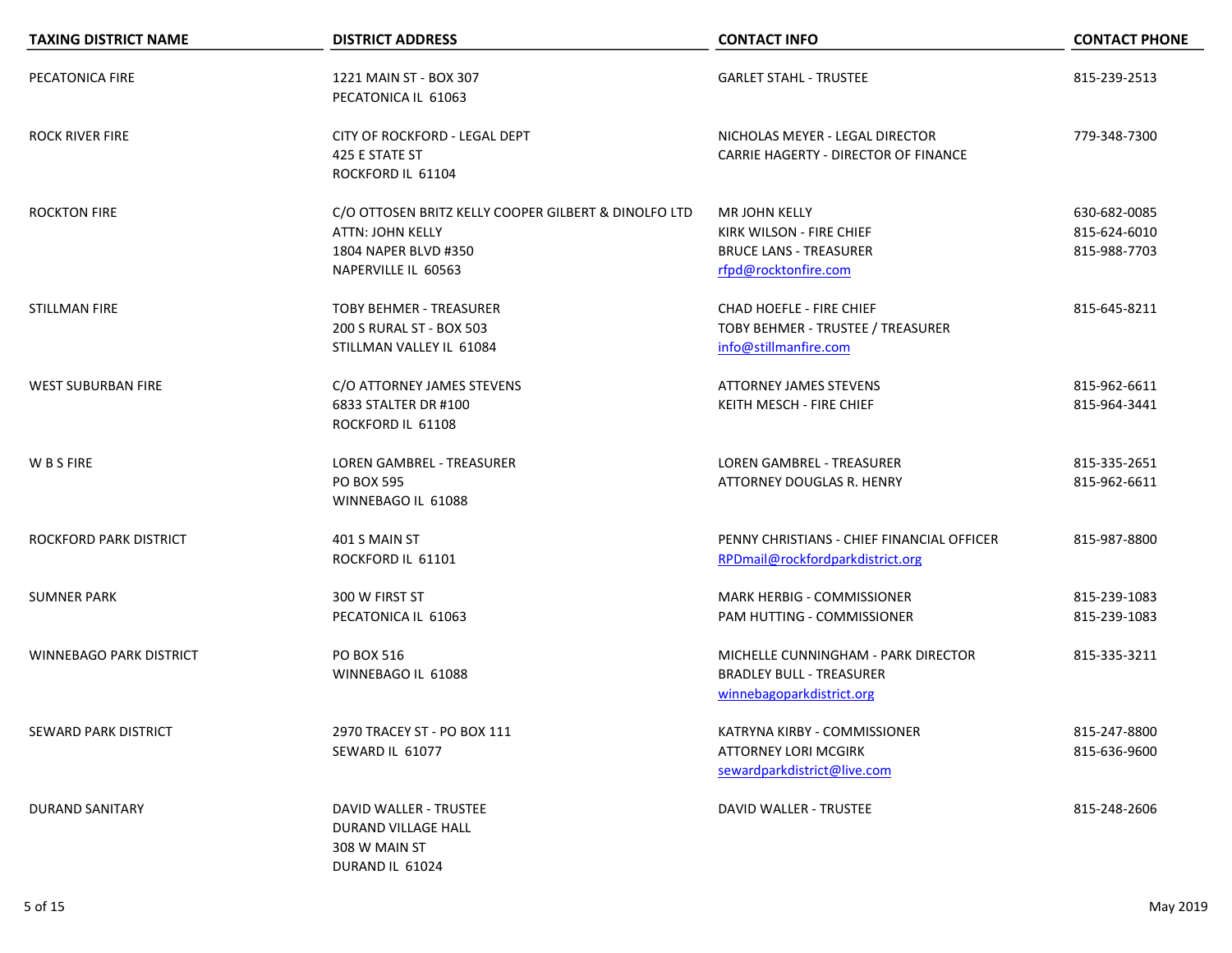| <b>TAXING DISTRICT NAME</b>    | <b>DISTRICT ADDRESS</b>                                                                                                        | <b>CONTACT INFO</b>                                                                                       | <b>CONTACT PHONE</b>                         |
|--------------------------------|--------------------------------------------------------------------------------------------------------------------------------|-----------------------------------------------------------------------------------------------------------|----------------------------------------------|
| PECATONICA FIRE                | 1221 MAIN ST - BOX 307<br>PECATONICA IL 61063                                                                                  | <b>GARLET STAHL - TRUSTEE</b>                                                                             | 815-239-2513                                 |
| <b>ROCK RIVER FIRE</b>         | CITY OF ROCKFORD - LEGAL DEPT<br>425 E STATE ST<br>ROCKFORD IL 61104                                                           | NICHOLAS MEYER - LEGAL DIRECTOR<br>CARRIE HAGERTY - DIRECTOR OF FINANCE                                   | 779-348-7300                                 |
| <b>ROCKTON FIRE</b>            | C/O OTTOSEN BRITZ KELLY COOPER GILBERT & DINOLFO LTD<br><b>ATTN: JOHN KELLY</b><br>1804 NAPER BLVD #350<br>NAPERVILLE IL 60563 | <b>MR JOHN KELLY</b><br>KIRK WILSON - FIRE CHIEF<br><b>BRUCE LANS - TREASURER</b><br>rfpd@rocktonfire.com | 630-682-0085<br>815-624-6010<br>815-988-7703 |
| <b>STILLMAN FIRE</b>           | <b>TOBY BEHMER - TREASURER</b><br>200 S RURAL ST - BOX 503<br>STILLMAN VALLEY IL 61084                                         | CHAD HOEFLE - FIRE CHIEF<br>TOBY BEHMER - TRUSTEE / TREASURER<br>info@stillmanfire.com                    | 815-645-8211                                 |
| <b>WEST SUBURBAN FIRE</b>      | C/O ATTORNEY JAMES STEVENS<br>6833 STALTER DR #100<br>ROCKFORD IL 61108                                                        | <b>ATTORNEY JAMES STEVENS</b><br>KEITH MESCH - FIRE CHIEF                                                 | 815-962-6611<br>815-964-3441                 |
| W B S FIRE                     | <b>LOREN GAMBREL - TREASURER</b><br><b>PO BOX 595</b><br>WINNEBAGO IL 61088                                                    | <b>LOREN GAMBREL - TREASURER</b><br>ATTORNEY DOUGLAS R. HENRY                                             | 815-335-2651<br>815-962-6611                 |
| ROCKFORD PARK DISTRICT         | 401 S MAIN ST<br>ROCKFORD IL 61101                                                                                             | PENNY CHRISTIANS - CHIEF FINANCIAL OFFICER<br>RPDmail@rockfordparkdistrict.org                            | 815-987-8800                                 |
| <b>SUMNER PARK</b>             | 300 W FIRST ST<br>PECATONICA IL 61063                                                                                          | MARK HERBIG - COMMISSIONER<br>PAM HUTTING - COMMISSIONER                                                  | 815-239-1083<br>815-239-1083                 |
| <b>WINNEBAGO PARK DISTRICT</b> | PO BOX 516<br>WINNEBAGO IL 61088                                                                                               | MICHELLE CUNNINGHAM - PARK DIRECTOR<br><b>BRADLEY BULL - TREASURER</b><br>winnebagoparkdistrict.org       | 815-335-3211                                 |
| SEWARD PARK DISTRICT           | 2970 TRACEY ST - PO BOX 111<br>SEWARD IL 61077                                                                                 | KATRYNA KIRBY - COMMISSIONER<br>ATTORNEY LORI MCGIRK<br>sewardparkdistrict@live.com                       | 815-247-8800<br>815-636-9600                 |
| <b>DURAND SANITARY</b>         | DAVID WALLER - TRUSTEE<br>DURAND VILLAGE HALL<br>308 W MAIN ST<br>DURAND IL 61024                                              | DAVID WALLER - TRUSTEE                                                                                    | 815-248-2606                                 |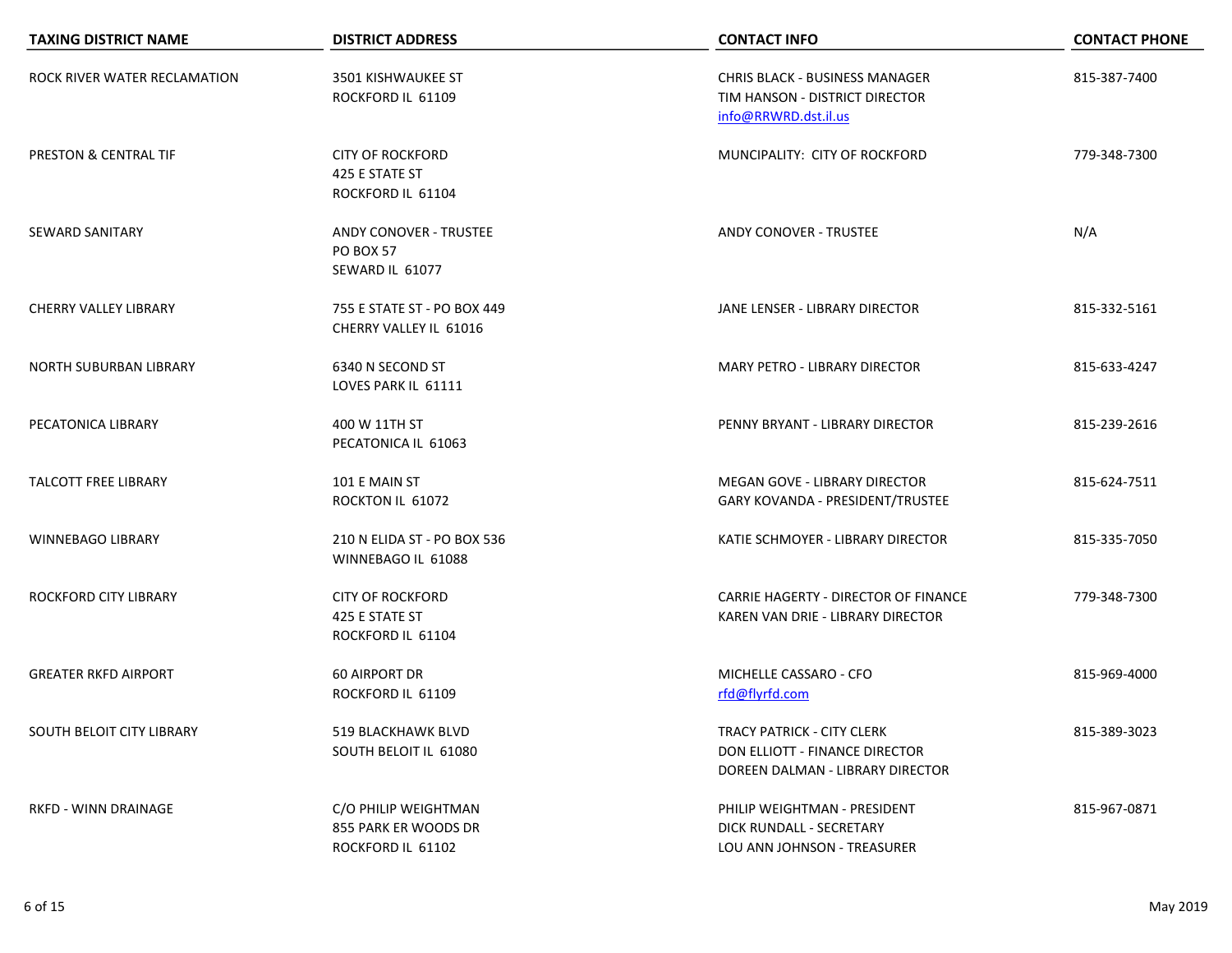| <b>TAXING DISTRICT NAME</b>  | <b>DISTRICT ADDRESS</b>                                              | <b>CONTACT INFO</b>                                                                              | <b>CONTACT PHONE</b> |
|------------------------------|----------------------------------------------------------------------|--------------------------------------------------------------------------------------------------|----------------------|
| ROCK RIVER WATER RECLAMATION | 3501 KISHWAUKEE ST<br>ROCKFORD IL 61109                              | <b>CHRIS BLACK - BUSINESS MANAGER</b><br>TIM HANSON - DISTRICT DIRECTOR<br>info@RRWRD.dst.il.us  | 815-387-7400         |
| PRESTON & CENTRAL TIF        | <b>CITY OF ROCKFORD</b><br>425 E STATE ST<br>ROCKFORD IL 61104       | MUNCIPALITY: CITY OF ROCKFORD                                                                    | 779-348-7300         |
| <b>SEWARD SANITARY</b>       | <b>ANDY CONOVER - TRUSTEE</b><br><b>PO BOX 57</b><br>SEWARD IL 61077 | <b>ANDY CONOVER - TRUSTEE</b>                                                                    | N/A                  |
| <b>CHERRY VALLEY LIBRARY</b> | 755 E STATE ST - PO BOX 449<br>CHERRY VALLEY IL 61016                | JANE LENSER - LIBRARY DIRECTOR                                                                   | 815-332-5161         |
| NORTH SUBURBAN LIBRARY       | 6340 N SECOND ST<br>LOVES PARK IL 61111                              | <b>MARY PETRO - LIBRARY DIRECTOR</b>                                                             | 815-633-4247         |
| PECATONICA LIBRARY           | 400 W 11TH ST<br>PECATONICA IL 61063                                 | PENNY BRYANT - LIBRARY DIRECTOR                                                                  | 815-239-2616         |
| <b>TALCOTT FREE LIBRARY</b>  | 101 E MAIN ST<br>ROCKTON IL 61072                                    | MEGAN GOVE - LIBRARY DIRECTOR<br>GARY KOVANDA - PRESIDENT/TRUSTEE                                | 815-624-7511         |
| <b>WINNEBAGO LIBRARY</b>     | 210 N ELIDA ST - PO BOX 536<br>WINNEBAGO IL 61088                    | KATIE SCHMOYER - LIBRARY DIRECTOR                                                                | 815-335-7050         |
| ROCKFORD CITY LIBRARY        | <b>CITY OF ROCKFORD</b><br>425 E STATE ST<br>ROCKFORD IL 61104       | CARRIE HAGERTY - DIRECTOR OF FINANCE<br>KAREN VAN DRIE - LIBRARY DIRECTOR                        | 779-348-7300         |
| <b>GREATER RKFD AIRPORT</b>  | 60 AIRPORT DR<br>ROCKFORD IL 61109                                   | MICHELLE CASSARO - CFO<br>rfd@flyrfd.com                                                         | 815-969-4000         |
| SOUTH BELOIT CITY LIBRARY    | 519 BLACKHAWK BLVD<br>SOUTH BELOIT IL 61080                          | TRACY PATRICK - CITY CLERK<br>DON ELLIOTT - FINANCE DIRECTOR<br>DOREEN DALMAN - LIBRARY DIRECTOR | 815-389-3023         |
| RKFD - WINN DRAINAGE         | C/O PHILIP WEIGHTMAN<br>855 PARK ER WOODS DR<br>ROCKFORD IL 61102    | PHILIP WEIGHTMAN - PRESIDENT<br>DICK RUNDALL - SECRETARY<br>LOU ANN JOHNSON - TREASURER          | 815-967-0871         |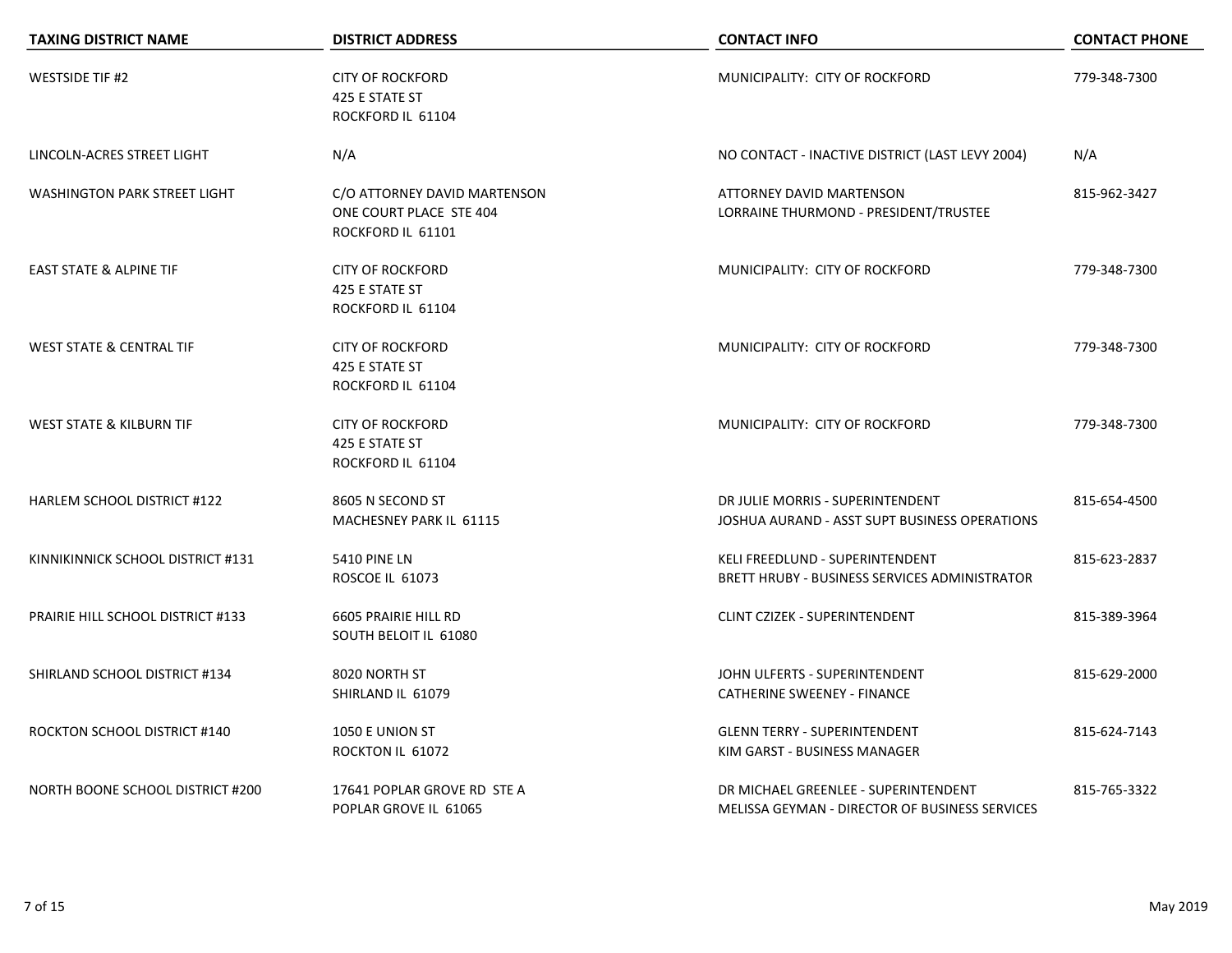| <b>TAXING DISTRICT NAME</b>         | <b>DISTRICT ADDRESS</b>                                                      | <b>CONTACT INFO</b>                                                                    | <b>CONTACT PHONE</b> |
|-------------------------------------|------------------------------------------------------------------------------|----------------------------------------------------------------------------------------|----------------------|
| <b>WESTSIDE TIF #2</b>              | <b>CITY OF ROCKFORD</b><br>425 E STATE ST<br>ROCKFORD IL 61104               | MUNICIPALITY: CITY OF ROCKFORD                                                         | 779-348-7300         |
| LINCOLN-ACRES STREET LIGHT          | N/A                                                                          | NO CONTACT - INACTIVE DISTRICT (LAST LEVY 2004)                                        | N/A                  |
| <b>WASHINGTON PARK STREET LIGHT</b> | C/O ATTORNEY DAVID MARTENSON<br>ONE COURT PLACE STE 404<br>ROCKFORD IL 61101 | ATTORNEY DAVID MARTENSON<br>LORRAINE THURMOND - PRESIDENT/TRUSTEE                      | 815-962-3427         |
| <b>EAST STATE &amp; ALPINE TIF</b>  | <b>CITY OF ROCKFORD</b><br>425 E STATE ST<br>ROCKFORD IL 61104               | MUNICIPALITY: CITY OF ROCKFORD                                                         | 779-348-7300         |
| <b>WEST STATE &amp; CENTRAL TIF</b> | <b>CITY OF ROCKFORD</b><br>425 E STATE ST<br>ROCKFORD IL 61104               | MUNICIPALITY: CITY OF ROCKFORD                                                         | 779-348-7300         |
| <b>WEST STATE &amp; KILBURN TIF</b> | <b>CITY OF ROCKFORD</b><br>425 E STATE ST<br>ROCKFORD IL 61104               | MUNICIPALITY: CITY OF ROCKFORD                                                         | 779-348-7300         |
| HARLEM SCHOOL DISTRICT #122         | 8605 N SECOND ST<br>MACHESNEY PARK IL 61115                                  | DR JULIE MORRIS - SUPERINTENDENT<br>JOSHUA AURAND - ASST SUPT BUSINESS OPERATIONS      | 815-654-4500         |
| KINNIKINNICK SCHOOL DISTRICT #131   | <b>5410 PINE LN</b><br>ROSCOE IL 61073                                       | KELI FREEDLUND - SUPERINTENDENT<br>BRETT HRUBY - BUSINESS SERVICES ADMINISTRATOR       | 815-623-2837         |
| PRAIRIE HILL SCHOOL DISTRICT #133   | 6605 PRAIRIE HILL RD<br>SOUTH BELOIT IL 61080                                | <b>CLINT CZIZEK - SUPERINTENDENT</b>                                                   | 815-389-3964         |
| SHIRLAND SCHOOL DISTRICT #134       | 8020 NORTH ST<br>SHIRLAND IL 61079                                           | JOHN ULFERTS - SUPERINTENDENT<br><b>CATHERINE SWEENEY - FINANCE</b>                    | 815-629-2000         |
| <b>ROCKTON SCHOOL DISTRICT #140</b> | 1050 E UNION ST<br>ROCKTON IL 61072                                          | <b>GLENN TERRY - SUPERINTENDENT</b><br>KIM GARST - BUSINESS MANAGER                    | 815-624-7143         |
| NORTH BOONE SCHOOL DISTRICT #200    | 17641 POPLAR GROVE RD STE A<br>POPLAR GROVE IL 61065                         | DR MICHAEL GREENLEE - SUPERINTENDENT<br>MELISSA GEYMAN - DIRECTOR OF BUSINESS SERVICES | 815-765-3322         |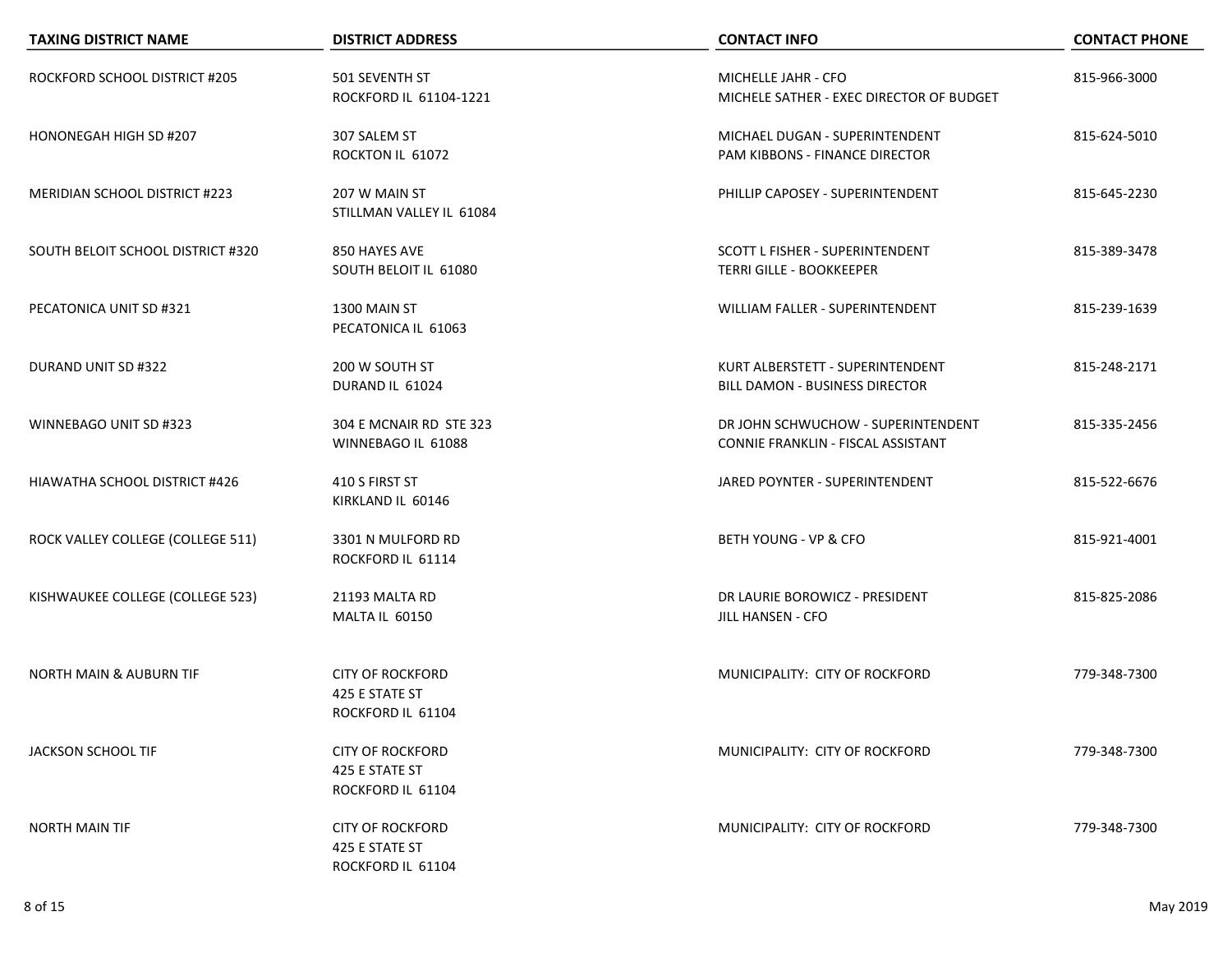| <b>TAXING DISTRICT NAME</b>          | <b>DISTRICT ADDRESS</b>                                        | <b>CONTACT INFO</b>                                                       | <b>CONTACT PHONE</b> |
|--------------------------------------|----------------------------------------------------------------|---------------------------------------------------------------------------|----------------------|
| ROCKFORD SCHOOL DISTRICT #205        | 501 SEVENTH ST<br>ROCKFORD IL 61104-1221                       | MICHELLE JAHR - CFO<br>MICHELE SATHER - EXEC DIRECTOR OF BUDGET           | 815-966-3000         |
| HONONEGAH HIGH SD #207               | 307 SALEM ST<br>ROCKTON IL 61072                               | MICHAEL DUGAN - SUPERINTENDENT<br>PAM KIBBONS - FINANCE DIRECTOR          | 815-624-5010         |
| <b>MERIDIAN SCHOOL DISTRICT #223</b> | 207 W MAIN ST<br>STILLMAN VALLEY IL 61084                      | PHILLIP CAPOSEY - SUPERINTENDENT                                          | 815-645-2230         |
| SOUTH BELOIT SCHOOL DISTRICT #320    | 850 HAYES AVE<br>SOUTH BELOIT IL 61080                         | <b>SCOTT L FISHER - SUPERINTENDENT</b><br><b>TERRI GILLE - BOOKKEEPER</b> | 815-389-3478         |
| PECATONICA UNIT SD #321              | 1300 MAIN ST<br>PECATONICA IL 61063                            | <b>WILLIAM FALLER - SUPERINTENDENT</b>                                    | 815-239-1639         |
| DURAND UNIT SD #322                  | 200 W SOUTH ST<br>DURAND IL 61024                              | KURT ALBERSTETT - SUPERINTENDENT<br>BILL DAMON - BUSINESS DIRECTOR        | 815-248-2171         |
| WINNEBAGO UNIT SD #323               | 304 E MCNAIR RD STE 323<br>WINNEBAGO IL 61088                  | DR JOHN SCHWUCHOW - SUPERINTENDENT<br>CONNIE FRANKLIN - FISCAL ASSISTANT  | 815-335-2456         |
| <b>HIAWATHA SCHOOL DISTRICT #426</b> | 410 S FIRST ST<br>KIRKLAND IL 60146                            | JARED POYNTER - SUPERINTENDENT                                            | 815-522-6676         |
| ROCK VALLEY COLLEGE (COLLEGE 511)    | 3301 N MULFORD RD<br>ROCKFORD IL 61114                         | BETH YOUNG - VP & CFO                                                     | 815-921-4001         |
| KISHWAUKEE COLLEGE (COLLEGE 523)     | 21193 MALTA RD<br>MALTA IL 60150                               | DR LAURIE BOROWICZ - PRESIDENT<br>JILL HANSEN - CFO                       | 815-825-2086         |
| <b>NORTH MAIN &amp; AUBURN TIF</b>   | <b>CITY OF ROCKFORD</b><br>425 E STATE ST<br>ROCKFORD IL 61104 | MUNICIPALITY: CITY OF ROCKFORD                                            | 779-348-7300         |
| JACKSON SCHOOL TIF                   | <b>CITY OF ROCKFORD</b><br>425 E STATE ST<br>ROCKFORD IL 61104 | MUNICIPALITY: CITY OF ROCKFORD                                            | 779-348-7300         |
| <b>NORTH MAIN TIF</b>                | <b>CITY OF ROCKFORD</b><br>425 E STATE ST<br>ROCKFORD IL 61104 | MUNICIPALITY: CITY OF ROCKFORD                                            | 779-348-7300         |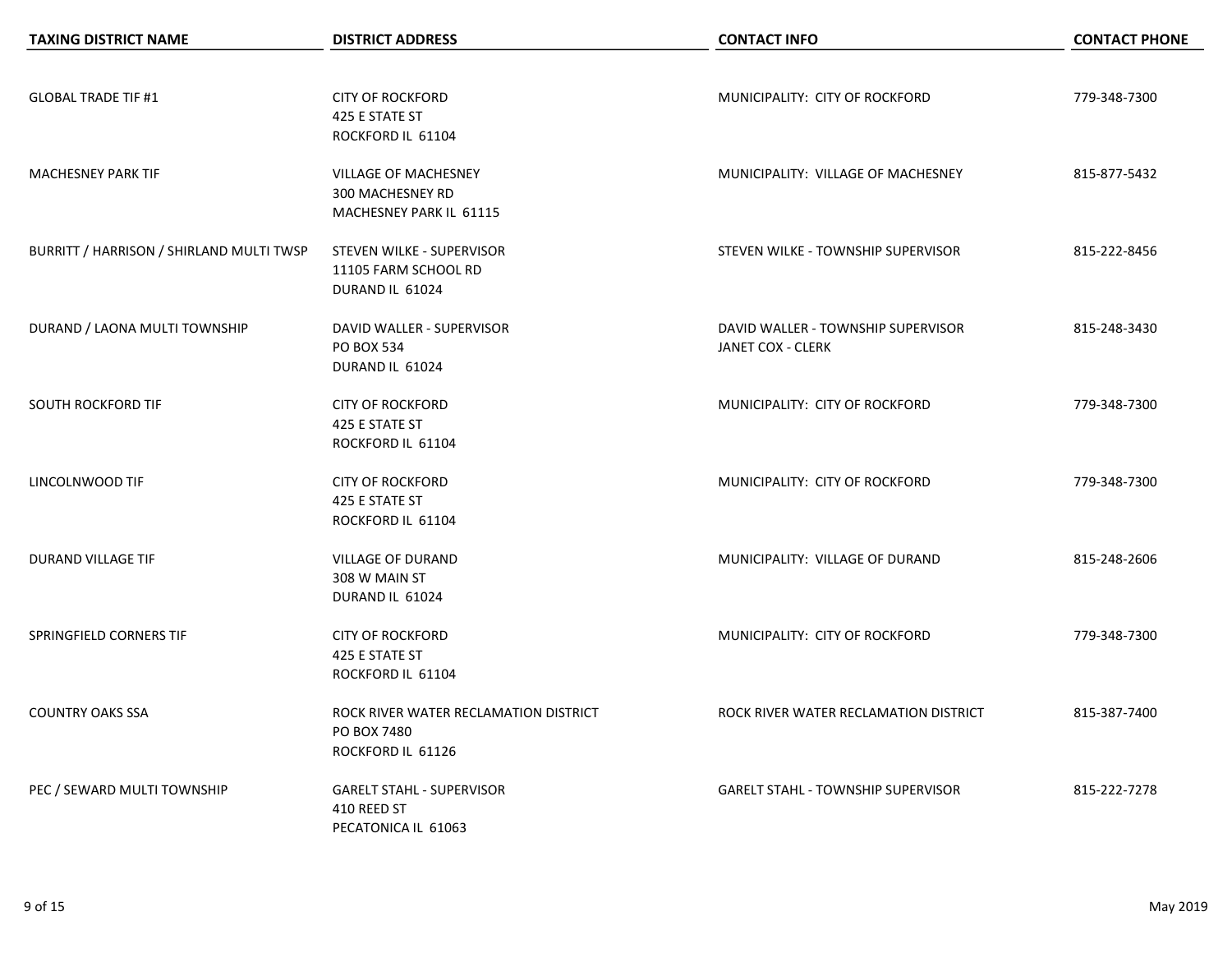| <b>TAXING DISTRICT NAME</b>              | <b>DISTRICT ADDRESS</b>               | <b>CONTACT INFO</b>                       | <b>CONTACT PHONE</b> |
|------------------------------------------|---------------------------------------|-------------------------------------------|----------------------|
|                                          |                                       |                                           |                      |
| <b>GLOBAL TRADE TIF #1</b>               | <b>CITY OF ROCKFORD</b>               | MUNICIPALITY: CITY OF ROCKFORD            | 779-348-7300         |
|                                          | 425 E STATE ST                        |                                           |                      |
|                                          | ROCKFORD IL 61104                     |                                           |                      |
| <b>MACHESNEY PARK TIF</b>                | VILLAGE OF MACHESNEY                  | MUNICIPALITY: VILLAGE OF MACHESNEY        | 815-877-5432         |
|                                          | 300 MACHESNEY RD                      |                                           |                      |
|                                          | MACHESNEY PARK IL 61115               |                                           |                      |
| BURRITT / HARRISON / SHIRLAND MULTI TWSP | STEVEN WILKE - SUPERVISOR             | STEVEN WILKE - TOWNSHIP SUPERVISOR        | 815-222-8456         |
|                                          | 11105 FARM SCHOOL RD                  |                                           |                      |
|                                          | DURAND IL 61024                       |                                           |                      |
| DURAND / LAONA MULTI TOWNSHIP            | DAVID WALLER - SUPERVISOR             | DAVID WALLER - TOWNSHIP SUPERVISOR        | 815-248-3430         |
|                                          | <b>PO BOX 534</b>                     | JANET COX - CLERK                         |                      |
|                                          | DURAND IL 61024                       |                                           |                      |
| SOUTH ROCKFORD TIF                       | <b>CITY OF ROCKFORD</b>               | MUNICIPALITY: CITY OF ROCKFORD            | 779-348-7300         |
|                                          | 425 E STATE ST                        |                                           |                      |
|                                          | ROCKFORD IL 61104                     |                                           |                      |
| LINCOLNWOOD TIF                          | <b>CITY OF ROCKFORD</b>               | MUNICIPALITY: CITY OF ROCKFORD            | 779-348-7300         |
|                                          | 425 E STATE ST                        |                                           |                      |
|                                          | ROCKFORD IL 61104                     |                                           |                      |
| <b>DURAND VILLAGE TIF</b>                | <b>VILLAGE OF DURAND</b>              | MUNICIPALITY: VILLAGE OF DURAND           | 815-248-2606         |
|                                          | 308 W MAIN ST                         |                                           |                      |
|                                          | DURAND IL 61024                       |                                           |                      |
| SPRINGFIELD CORNERS TIF                  | <b>CITY OF ROCKFORD</b>               | MUNICIPALITY: CITY OF ROCKFORD            | 779-348-7300         |
|                                          | 425 E STATE ST                        |                                           |                      |
|                                          | ROCKFORD IL 61104                     |                                           |                      |
| <b>COUNTRY OAKS SSA</b>                  | ROCK RIVER WATER RECLAMATION DISTRICT | ROCK RIVER WATER RECLAMATION DISTRICT     | 815-387-7400         |
|                                          | PO BOX 7480                           |                                           |                      |
|                                          | ROCKFORD IL 61126                     |                                           |                      |
| PEC / SEWARD MULTI TOWNSHIP              | <b>GARELT STAHL - SUPERVISOR</b>      | <b>GARELT STAHL - TOWNSHIP SUPERVISOR</b> | 815-222-7278         |
|                                          | 410 REED ST                           |                                           |                      |
|                                          | PECATONICA IL 61063                   |                                           |                      |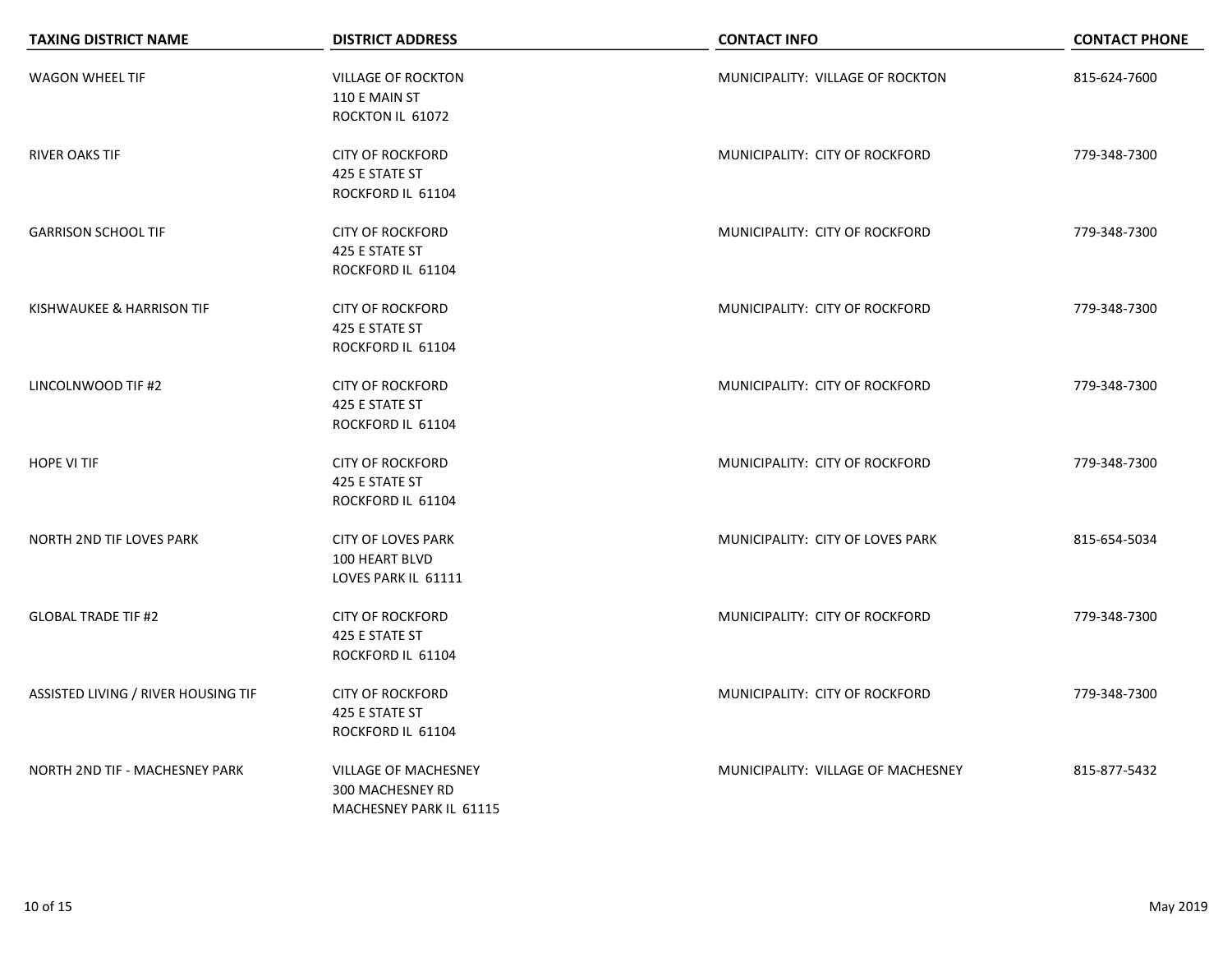| <b>TAXING DISTRICT NAME</b>         | <b>DISTRICT ADDRESS</b>                    | <b>CONTACT INFO</b>                | <b>CONTACT PHONE</b> |
|-------------------------------------|--------------------------------------------|------------------------------------|----------------------|
| <b>WAGON WHEEL TIF</b>              | <b>VILLAGE OF ROCKTON</b><br>110 E MAIN ST | MUNICIPALITY: VILLAGE OF ROCKTON   | 815-624-7600         |
|                                     | ROCKTON IL 61072                           |                                    |                      |
| <b>RIVER OAKS TIF</b>               | <b>CITY OF ROCKFORD</b>                    | MUNICIPALITY: CITY OF ROCKFORD     | 779-348-7300         |
|                                     | 425 E STATE ST                             |                                    |                      |
|                                     | ROCKFORD IL 61104                          |                                    |                      |
| <b>GARRISON SCHOOL TIF</b>          | <b>CITY OF ROCKFORD</b>                    | MUNICIPALITY: CITY OF ROCKFORD     | 779-348-7300         |
|                                     | 425 E STATE ST                             |                                    |                      |
|                                     | ROCKFORD IL 61104                          |                                    |                      |
| KISHWAUKEE & HARRISON TIF           | <b>CITY OF ROCKFORD</b>                    | MUNICIPALITY: CITY OF ROCKFORD     | 779-348-7300         |
|                                     | 425 E STATE ST                             |                                    |                      |
|                                     | ROCKFORD IL 61104                          |                                    |                      |
| LINCOLNWOOD TIF #2                  | <b>CITY OF ROCKFORD</b>                    | MUNICIPALITY: CITY OF ROCKFORD     | 779-348-7300         |
|                                     | 425 E STATE ST                             |                                    |                      |
|                                     | ROCKFORD IL 61104                          |                                    |                      |
| <b>HOPE VI TIF</b>                  | <b>CITY OF ROCKFORD</b>                    | MUNICIPALITY: CITY OF ROCKFORD     | 779-348-7300         |
|                                     | 425 E STATE ST                             |                                    |                      |
|                                     | ROCKFORD IL 61104                          |                                    |                      |
| <b>NORTH 2ND TIF LOVES PARK</b>     | <b>CITY OF LOVES PARK</b>                  | MUNICIPALITY: CITY OF LOVES PARK   | 815-654-5034         |
|                                     | 100 HEART BLVD                             |                                    |                      |
|                                     | LOVES PARK IL 61111                        |                                    |                      |
| <b>GLOBAL TRADE TIF #2</b>          | <b>CITY OF ROCKFORD</b>                    | MUNICIPALITY: CITY OF ROCKFORD     | 779-348-7300         |
|                                     | 425 E STATE ST                             |                                    |                      |
|                                     | ROCKFORD IL 61104                          |                                    |                      |
| ASSISTED LIVING / RIVER HOUSING TIF | <b>CITY OF ROCKFORD</b>                    | MUNICIPALITY: CITY OF ROCKFORD     | 779-348-7300         |
|                                     | 425 E STATE ST                             |                                    |                      |
|                                     | ROCKFORD IL 61104                          |                                    |                      |
| NORTH 2ND TIF - MACHESNEY PARK      | <b>VILLAGE OF MACHESNEY</b>                | MUNICIPALITY: VILLAGE OF MACHESNEY | 815-877-5432         |
|                                     | 300 MACHESNEY RD                           |                                    |                      |
|                                     | MACHESNEY PARK IL 61115                    |                                    |                      |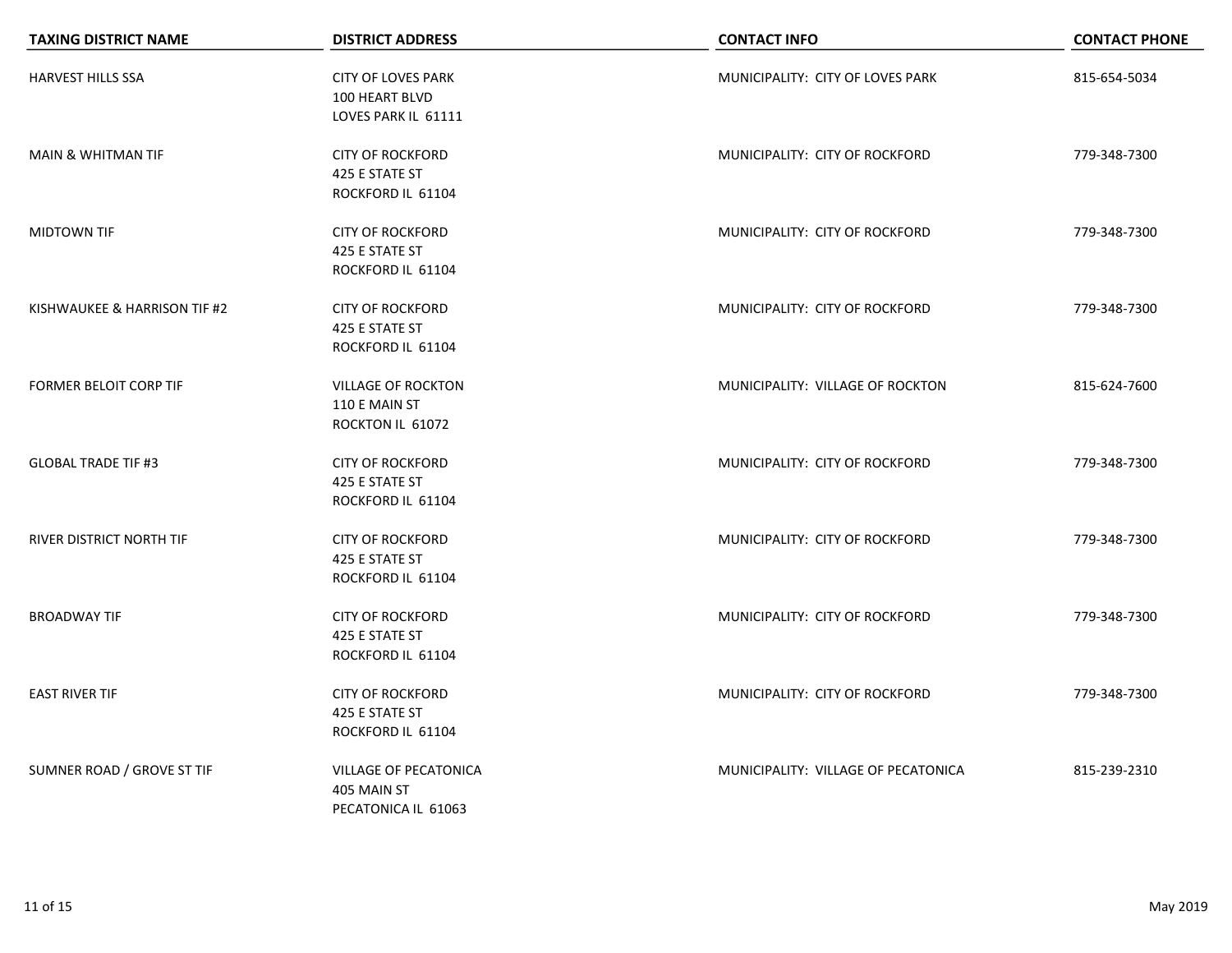| <b>TAXING DISTRICT NAME</b>     | <b>DISTRICT ADDRESS</b>                                            | <b>CONTACT INFO</b>                 | <b>CONTACT PHONE</b> |
|---------------------------------|--------------------------------------------------------------------|-------------------------------------|----------------------|
| HARVEST HILLS SSA               | <b>CITY OF LOVES PARK</b><br>100 HEART BLVD<br>LOVES PARK IL 61111 | MUNICIPALITY: CITY OF LOVES PARK    | 815-654-5034         |
| <b>MAIN &amp; WHITMAN TIF</b>   | <b>CITY OF ROCKFORD</b><br>425 E STATE ST<br>ROCKFORD IL 61104     | MUNICIPALITY: CITY OF ROCKFORD      | 779-348-7300         |
| MIDTOWN TIF                     | <b>CITY OF ROCKFORD</b><br>425 E STATE ST<br>ROCKFORD IL 61104     | MUNICIPALITY: CITY OF ROCKFORD      | 779-348-7300         |
| KISHWAUKEE & HARRISON TIF #2    | <b>CITY OF ROCKFORD</b><br>425 E STATE ST<br>ROCKFORD IL 61104     | MUNICIPALITY: CITY OF ROCKFORD      | 779-348-7300         |
| <b>FORMER BELOIT CORP TIF</b>   | <b>VILLAGE OF ROCKTON</b><br>110 E MAIN ST<br>ROCKTON IL 61072     | MUNICIPALITY: VILLAGE OF ROCKTON    | 815-624-7600         |
| <b>GLOBAL TRADE TIF #3</b>      | <b>CITY OF ROCKFORD</b><br>425 E STATE ST<br>ROCKFORD IL 61104     | MUNICIPALITY: CITY OF ROCKFORD      | 779-348-7300         |
| <b>RIVER DISTRICT NORTH TIF</b> | <b>CITY OF ROCKFORD</b><br>425 E STATE ST<br>ROCKFORD IL 61104     | MUNICIPALITY: CITY OF ROCKFORD      | 779-348-7300         |
| <b>BROADWAY TIF</b>             | <b>CITY OF ROCKFORD</b><br>425 E STATE ST<br>ROCKFORD IL 61104     | MUNICIPALITY: CITY OF ROCKFORD      | 779-348-7300         |
| <b>EAST RIVER TIF</b>           | <b>CITY OF ROCKFORD</b><br>425 E STATE ST<br>ROCKFORD IL 61104     | MUNICIPALITY: CITY OF ROCKFORD      | 779-348-7300         |
| SUMNER ROAD / GROVE ST TIF      | VILLAGE OF PECATONICA<br>405 MAIN ST<br>PECATONICA IL 61063        | MUNICIPALITY: VILLAGE OF PECATONICA | 815-239-2310         |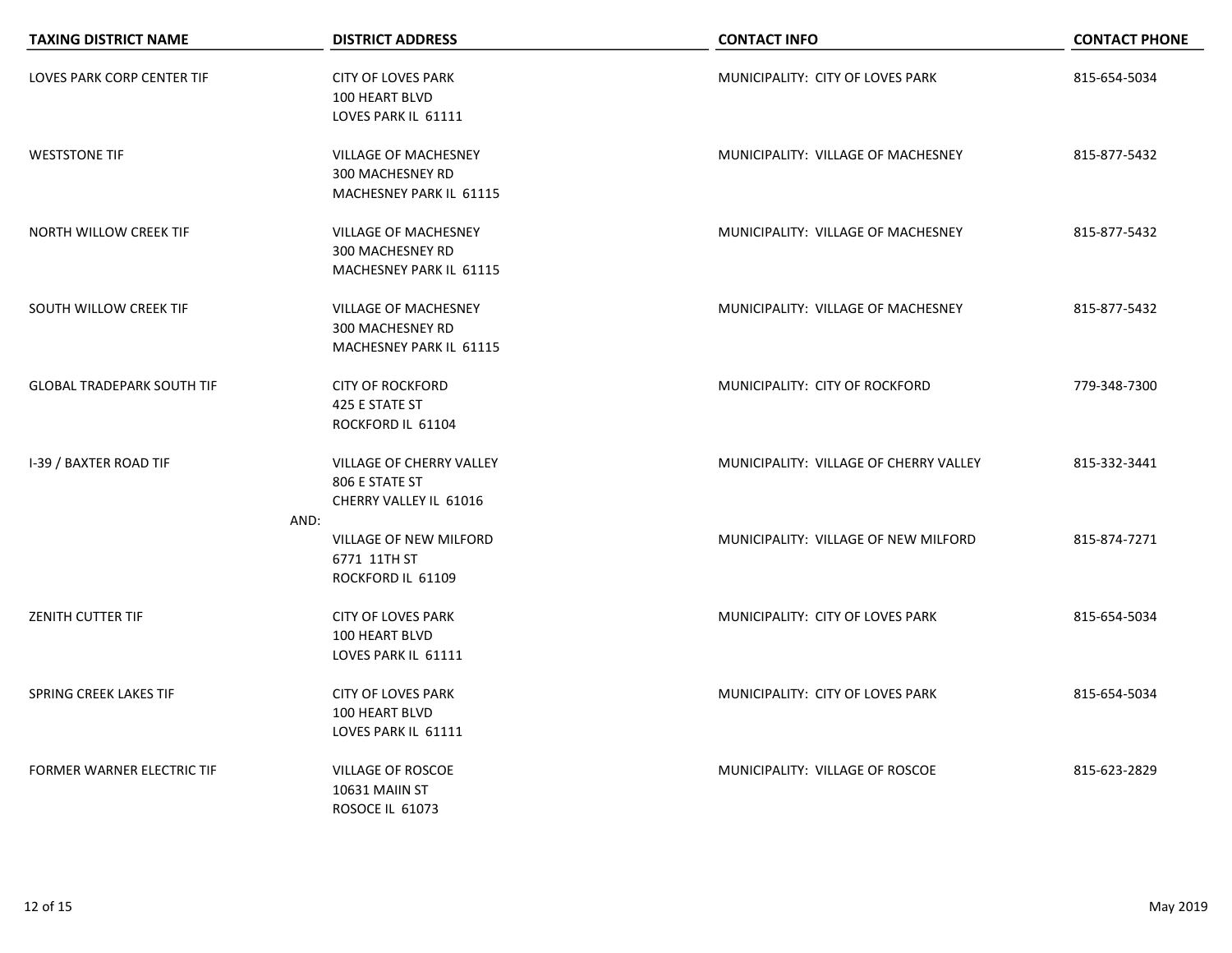| <b>TAXING DISTRICT NAME</b>       | <b>DISTRICT ADDRESS</b>                                                    | <b>CONTACT INFO</b>                    | <b>CONTACT PHONE</b> |
|-----------------------------------|----------------------------------------------------------------------------|----------------------------------------|----------------------|
| <b>LOVES PARK CORP CENTER TIF</b> | <b>CITY OF LOVES PARK</b><br>100 HEART BLVD<br>LOVES PARK IL 61111         | MUNICIPALITY: CITY OF LOVES PARK       | 815-654-5034         |
| <b>WESTSTONE TIF</b>              | <b>VILLAGE OF MACHESNEY</b><br>300 MACHESNEY RD<br>MACHESNEY PARK IL 61115 | MUNICIPALITY: VILLAGE OF MACHESNEY     | 815-877-5432         |
| NORTH WILLOW CREEK TIF            | <b>VILLAGE OF MACHESNEY</b><br>300 MACHESNEY RD<br>MACHESNEY PARK IL 61115 | MUNICIPALITY: VILLAGE OF MACHESNEY     | 815-877-5432         |
| SOUTH WILLOW CREEK TIF            | <b>VILLAGE OF MACHESNEY</b><br>300 MACHESNEY RD<br>MACHESNEY PARK IL 61115 | MUNICIPALITY: VILLAGE OF MACHESNEY     | 815-877-5432         |
| <b>GLOBAL TRADEPARK SOUTH TIF</b> | <b>CITY OF ROCKFORD</b><br>425 E STATE ST<br>ROCKFORD IL 61104             | MUNICIPALITY: CITY OF ROCKFORD         | 779-348-7300         |
| <b>I-39 / BAXTER ROAD TIF</b>     | VILLAGE OF CHERRY VALLEY<br>806 E STATE ST<br>CHERRY VALLEY IL 61016       | MUNICIPALITY: VILLAGE OF CHERRY VALLEY | 815-332-3441         |
|                                   | AND:<br>VILLAGE OF NEW MILFORD<br>6771 11TH ST<br>ROCKFORD IL 61109        | MUNICIPALITY: VILLAGE OF NEW MILFORD   | 815-874-7271         |
| <b>ZENITH CUTTER TIF</b>          | <b>CITY OF LOVES PARK</b><br>100 HEART BLVD<br>LOVES PARK IL 61111         | MUNICIPALITY: CITY OF LOVES PARK       | 815-654-5034         |
| SPRING CREEK LAKES TIF            | <b>CITY OF LOVES PARK</b><br>100 HEART BLVD<br>LOVES PARK IL 61111         | MUNICIPALITY: CITY OF LOVES PARK       | 815-654-5034         |
| FORMER WARNER ELECTRIC TIF        | VILLAGE OF ROSCOE<br>10631 MAIIN ST<br>ROSOCE IL 61073                     | MUNICIPALITY: VILLAGE OF ROSCOE        | 815-623-2829         |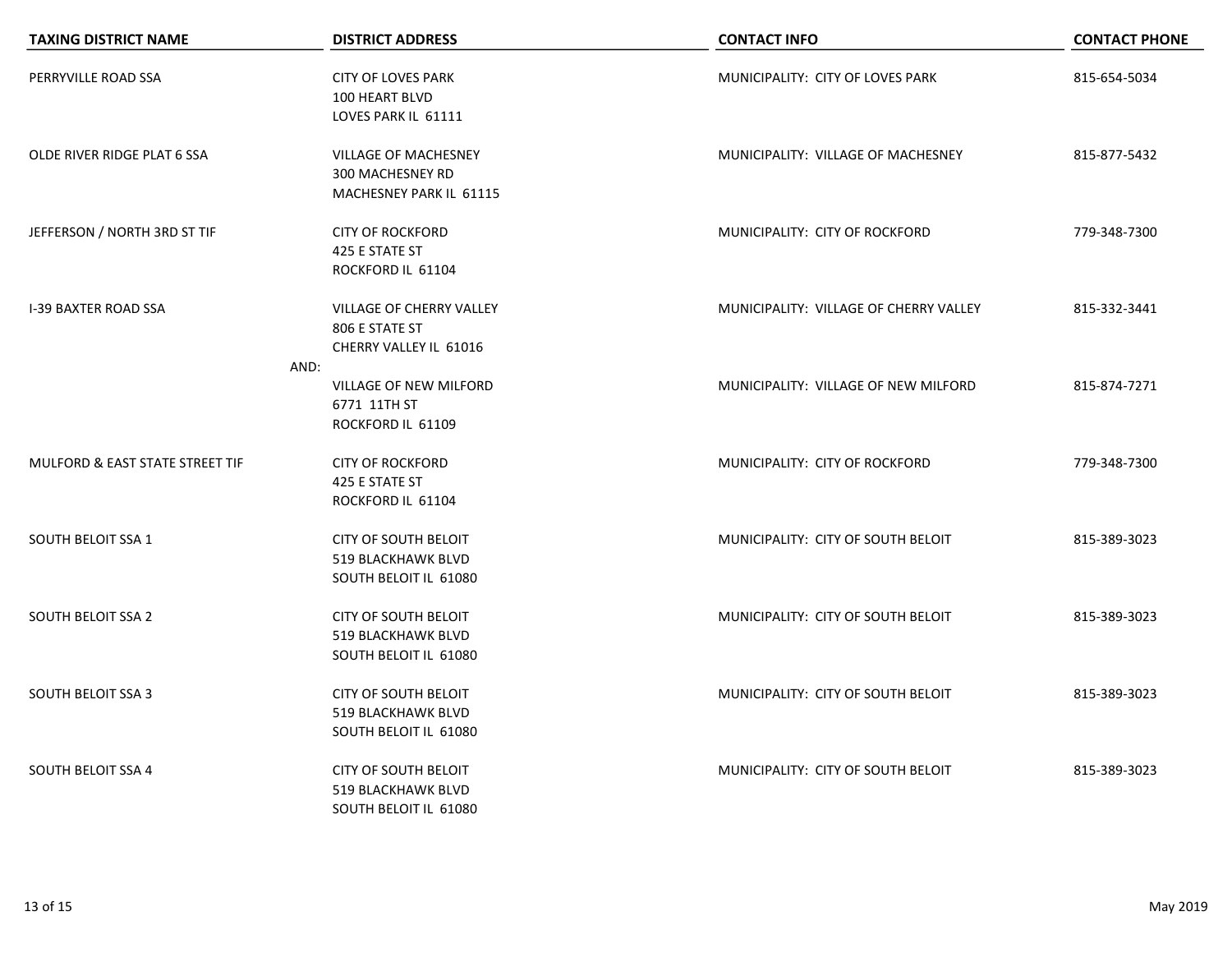| <b>TAXING DISTRICT NAME</b>     | <b>DISTRICT ADDRESS</b>                                                           | <b>CONTACT INFO</b>                    | <b>CONTACT PHONE</b> |
|---------------------------------|-----------------------------------------------------------------------------------|----------------------------------------|----------------------|
| PERRYVILLE ROAD SSA             | <b>CITY OF LOVES PARK</b><br>100 HEART BLVD<br>LOVES PARK IL 61111                | MUNICIPALITY: CITY OF LOVES PARK       | 815-654-5034         |
| OLDE RIVER RIDGE PLAT 6 SSA     | <b>VILLAGE OF MACHESNEY</b><br>300 MACHESNEY RD<br>MACHESNEY PARK IL 61115        | MUNICIPALITY: VILLAGE OF MACHESNEY     | 815-877-5432         |
| JEFFERSON / NORTH 3RD ST TIF    | <b>CITY OF ROCKFORD</b><br>425 E STATE ST<br>ROCKFORD IL 61104                    | MUNICIPALITY: CITY OF ROCKFORD         | 779-348-7300         |
| <b>I-39 BAXTER ROAD SSA</b>     | VILLAGE OF CHERRY VALLEY<br>806 E STATE ST<br>CHERRY VALLEY IL 61016              | MUNICIPALITY: VILLAGE OF CHERRY VALLEY | 815-332-3441         |
|                                 | AND:<br><b>VILLAGE OF NEW MILFORD</b><br>6771 11TH ST<br>ROCKFORD IL 61109        | MUNICIPALITY: VILLAGE OF NEW MILFORD   | 815-874-7271         |
| MULFORD & EAST STATE STREET TIF | <b>CITY OF ROCKFORD</b><br>425 E STATE ST<br>ROCKFORD IL 61104                    | MUNICIPALITY: CITY OF ROCKFORD         | 779-348-7300         |
| <b>SOUTH BELOIT SSA 1</b>       | <b>CITY OF SOUTH BELOIT</b><br>519 BLACKHAWK BLVD<br>SOUTH BELOIT IL 61080        | MUNICIPALITY: CITY OF SOUTH BELOIT     | 815-389-3023         |
| <b>SOUTH BELOIT SSA 2</b>       | <b>CITY OF SOUTH BELOIT</b><br>519 BLACKHAWK BLVD<br>SOUTH BELOIT IL 61080        | MUNICIPALITY: CITY OF SOUTH BELOIT     | 815-389-3023         |
| <b>SOUTH BELOIT SSA 3</b>       | <b>CITY OF SOUTH BELOIT</b><br><b>519 BLACKHAWK BLVD</b><br>SOUTH BELOIT IL 61080 | MUNICIPALITY: CITY OF SOUTH BELOIT     | 815-389-3023         |
| <b>SOUTH BELOIT SSA 4</b>       | <b>CITY OF SOUTH BELOIT</b><br><b>519 BLACKHAWK BLVD</b><br>SOUTH BELOIT IL 61080 | MUNICIPALITY: CITY OF SOUTH BELOIT     | 815-389-3023         |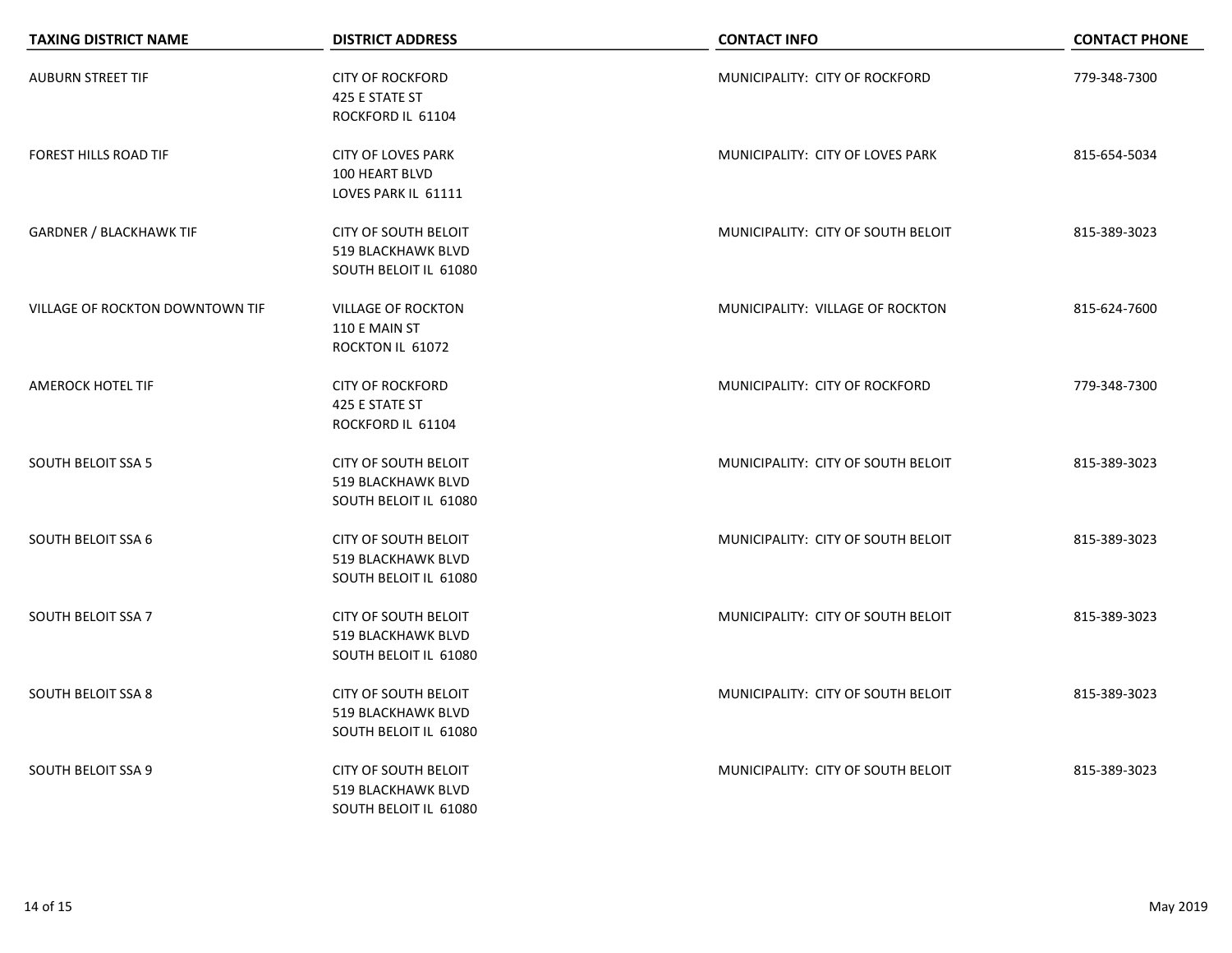| <b>TAXING DISTRICT NAME</b>     | <b>DISTRICT ADDRESS</b>                                                    | <b>CONTACT INFO</b>                | <b>CONTACT PHONE</b> |
|---------------------------------|----------------------------------------------------------------------------|------------------------------------|----------------------|
| <b>AUBURN STREET TIF</b>        | <b>CITY OF ROCKFORD</b><br>425 E STATE ST<br>ROCKFORD IL 61104             | MUNICIPALITY: CITY OF ROCKFORD     | 779-348-7300         |
| <b>FOREST HILLS ROAD TIF</b>    | <b>CITY OF LOVES PARK</b><br>100 HEART BLVD<br>LOVES PARK IL 61111         | MUNICIPALITY: CITY OF LOVES PARK   | 815-654-5034         |
| <b>GARDNER / BLACKHAWK TIF</b>  | <b>CITY OF SOUTH BELOIT</b><br>519 BLACKHAWK BLVD<br>SOUTH BELOIT IL 61080 | MUNICIPALITY: CITY OF SOUTH BELOIT | 815-389-3023         |
| VILLAGE OF ROCKTON DOWNTOWN TIF | <b>VILLAGE OF ROCKTON</b><br>110 E MAIN ST<br>ROCKTON IL 61072             | MUNICIPALITY: VILLAGE OF ROCKTON   | 815-624-7600         |
| AMEROCK HOTEL TIF               | <b>CITY OF ROCKFORD</b><br>425 E STATE ST<br>ROCKFORD IL 61104             | MUNICIPALITY: CITY OF ROCKFORD     | 779-348-7300         |
| <b>SOUTH BELOIT SSA 5</b>       | CITY OF SOUTH BELOIT<br>519 BLACKHAWK BLVD<br>SOUTH BELOIT IL 61080        | MUNICIPALITY: CITY OF SOUTH BELOIT | 815-389-3023         |
| <b>SOUTH BELOIT SSA 6</b>       | <b>CITY OF SOUTH BELOIT</b><br>519 BLACKHAWK BLVD<br>SOUTH BELOIT IL 61080 | MUNICIPALITY: CITY OF SOUTH BELOIT | 815-389-3023         |
| <b>SOUTH BELOIT SSA 7</b>       | <b>CITY OF SOUTH BELOIT</b><br>519 BLACKHAWK BLVD<br>SOUTH BELOIT IL 61080 | MUNICIPALITY: CITY OF SOUTH BELOIT | 815-389-3023         |
| <b>SOUTH BELOIT SSA 8</b>       | CITY OF SOUTH BELOIT<br><b>519 BLACKHAWK BLVD</b><br>SOUTH BELOIT IL 61080 | MUNICIPALITY: CITY OF SOUTH BELOIT | 815-389-3023         |
| <b>SOUTH BELOIT SSA 9</b>       | <b>CITY OF SOUTH BELOIT</b><br>519 BLACKHAWK BLVD<br>SOUTH BELOIT IL 61080 | MUNICIPALITY: CITY OF SOUTH BELOIT | 815-389-3023         |